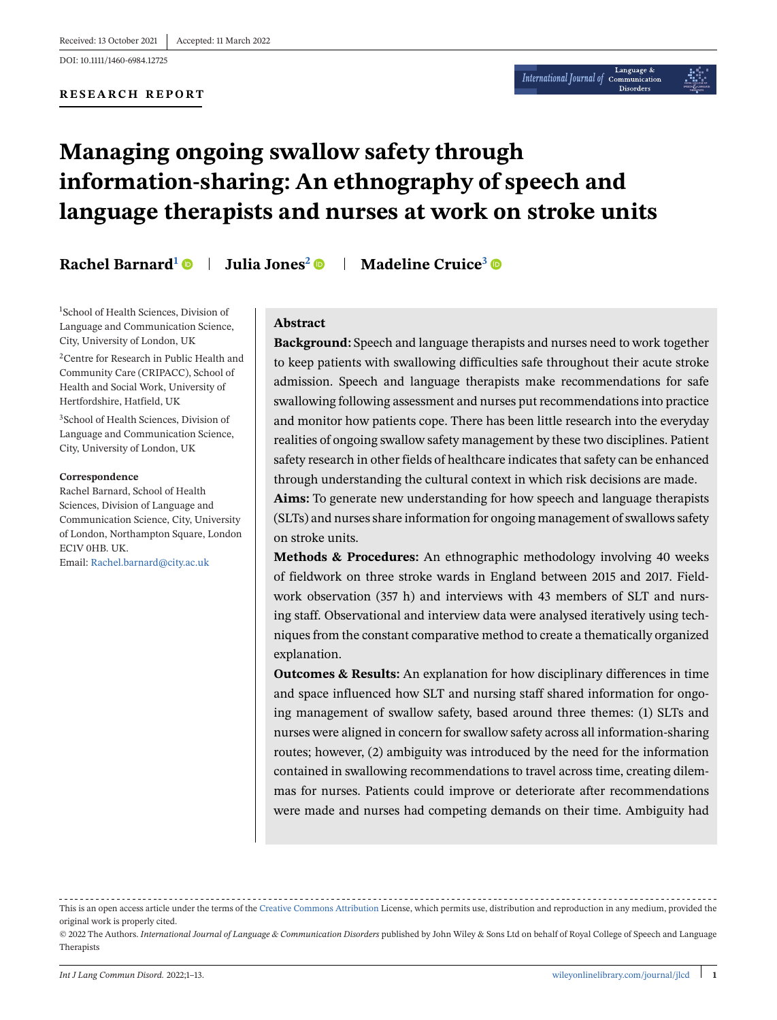DOI: 10.1111/1460-6984.12725

#### **RESEARCH REPORT**

# **Managing ongoing swallow safety through information-sharing: An ethnography of speech and language therapists and nurses at work on stroke units**

**Rachel Barnard<sup>1</sup>**  $\bullet$  **| Julia Jones<sup>2</sup>**  $\bullet$  **| Madeline Cruice<sup>3</sup>**  $\bullet$ 

1 School of Health Sciences, Division of Language and Communication Science, City, University of London, UK

2Centre for Research in Public Health and Community Care (CRIPACC), School of Health and Social Work, University of Hertfordshire, Hatfield, UK

3School of Health Sciences, Division of Language and Communication Science, City, University of London, UK

#### **Correspondence**

Rachel Barnard, School of Health Sciences, Division of Language and Communication Science, City, University of London, Northampton Square, London EC1V 0HB. UK.

Email: [Rachel.barnard@city.ac.uk](mailto:Rachel.barnard@city.ac.uk)

#### **Abstract**

**Background:** Speech and language therapists and nurses need to work together to keep patients with swallowing difficulties safe throughout their acute stroke admission. Speech and language therapists make recommendations for safe swallowing following assessment and nurses put recommendations into practice and monitor how patients cope. There has been little research into the everyday realities of ongoing swallow safety management by these two disciplines. Patient safety research in other fields of healthcare indicates that safety can be enhanced through understanding the cultural context in which risk decisions are made.

**Aims:** To generate new understanding for how speech and language therapists (SLTs) and nurses share information for ongoing management of swallows safety on stroke units.

**Methods & Procedures:** An ethnographic methodology involving 40 weeks of fieldwork on three stroke wards in England between 2015 and 2017. Fieldwork observation (357 h) and interviews with 43 members of SLT and nursing staff. Observational and interview data were analysed iteratively using techniques from the constant comparative method to create a thematically organized explanation.

**Outcomes & Results:** An explanation for how disciplinary differences in time and space influenced how SLT and nursing staff shared information for ongoing management of swallow safety, based around three themes: (1) SLTs and nurses were aligned in concern for swallow safety across all information-sharing routes; however, (2) ambiguity was introduced by the need for the information contained in swallowing recommendations to travel across time, creating dilemmas for nurses. Patients could improve or deteriorate after recommendations were made and nurses had competing demands on their time. Ambiguity had

This is an open access article under the terms of the [Creative Commons Attribution](http://creativecommons.org/licenses/by/4.0/) License, which permits use, distribution and reproduction in any medium, provided the original work is properly cited.

<sup>© 2022</sup> The Authors. *International Journal of Language & Communication Disorders* published by John Wiley & Sons Ltd on behalf of Royal College of Speech and Language Therapists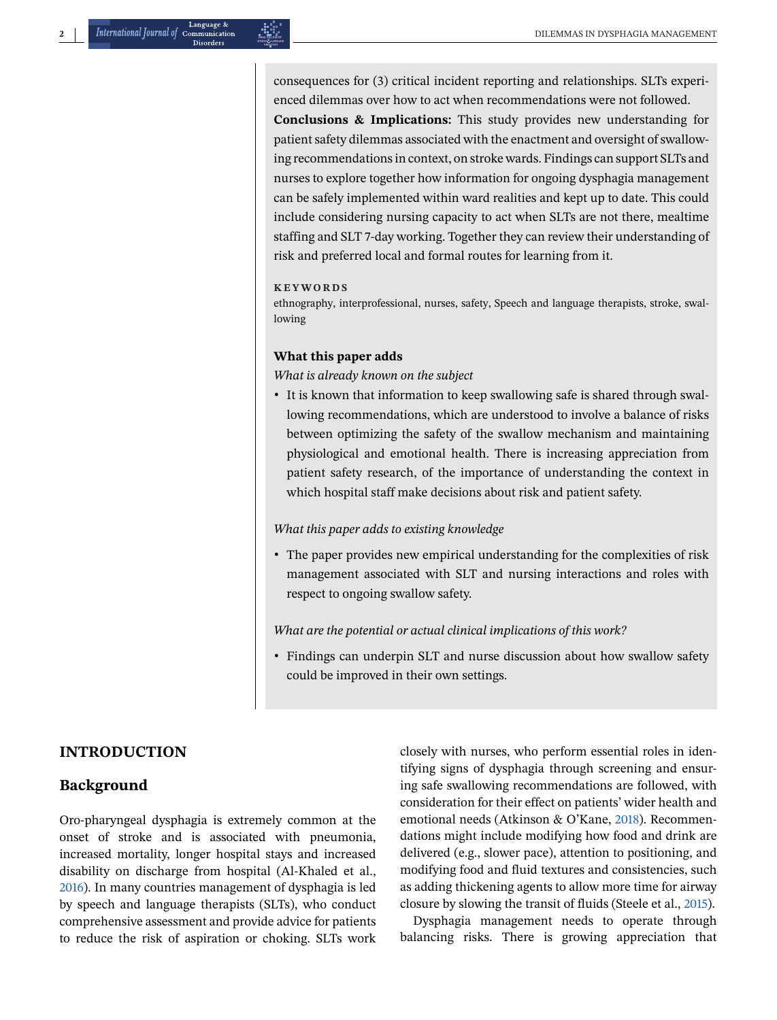**2** DILEMMAS IN DYSPHAGIA MANAGEMENT

consequences for (3) critical incident reporting and relationships. SLTs experienced dilemmas over how to act when recommendations were not followed.

**Conclusions & Implications:** This study provides new understanding for patient safety dilemmas associated with the enactment and oversight of swallowing recommendations in context, on stroke wards. Findings can support SLTs and nurses to explore together how information for ongoing dysphagia management can be safely implemented within ward realities and kept up to date. This could include considering nursing capacity to act when SLTs are not there, mealtime staffing and SLT 7-day working. Together they can review their understanding of risk and preferred local and formal routes for learning from it.

#### **KEYWORDS**

ethnography, interprofessional, nurses, safety, Speech and language therapists, stroke, swallowing

#### **What this paper adds**

*What is already known on the subject*

∙ It is known that information to keep swallowing safe is shared through swallowing recommendations, which are understood to involve a balance of risks between optimizing the safety of the swallow mechanism and maintaining physiological and emotional health. There is increasing appreciation from patient safety research, of the importance of understanding the context in which hospital staff make decisions about risk and patient safety.

#### *What this paper adds to existing knowledge*

∙ The paper provides new empirical understanding for the complexities of risk management associated with SLT and nursing interactions and roles with respect to ongoing swallow safety.

#### *What are the potential or actual clinical implications of this work?*

∙ Findings can underpin SLT and nurse discussion about how swallow safety could be improved in their own settings.

## **INTRODUCTION**

## **Background**

Oro-pharyngeal dysphagia is extremely common at the onset of stroke and is associated with pneumonia, increased mortality, longer hospital stays and increased disability on discharge from hospital (Al-Khaled et al., [2016\)](#page-11-0). In many countries management of dysphagia is led by speech and language therapists (SLTs), who conduct comprehensive assessment and provide advice for patients to reduce the risk of aspiration or choking. SLTs work closely with nurses, who perform essential roles in identifying signs of dysphagia through screening and ensuring safe swallowing recommendations are followed, with consideration for their effect on patients' wider health and emotional needs (Atkinson & O'Kane, [2018\)](#page-11-0). Recommendations might include modifying how food and drink are delivered (e.g., slower pace), attention to positioning, and modifying food and fluid textures and consistencies, such as adding thickening agents to allow more time for airway closure by slowing the transit of fluids (Steele et al., [2015\)](#page-12-0).

Dysphagia management needs to operate through balancing risks. There is growing appreciation that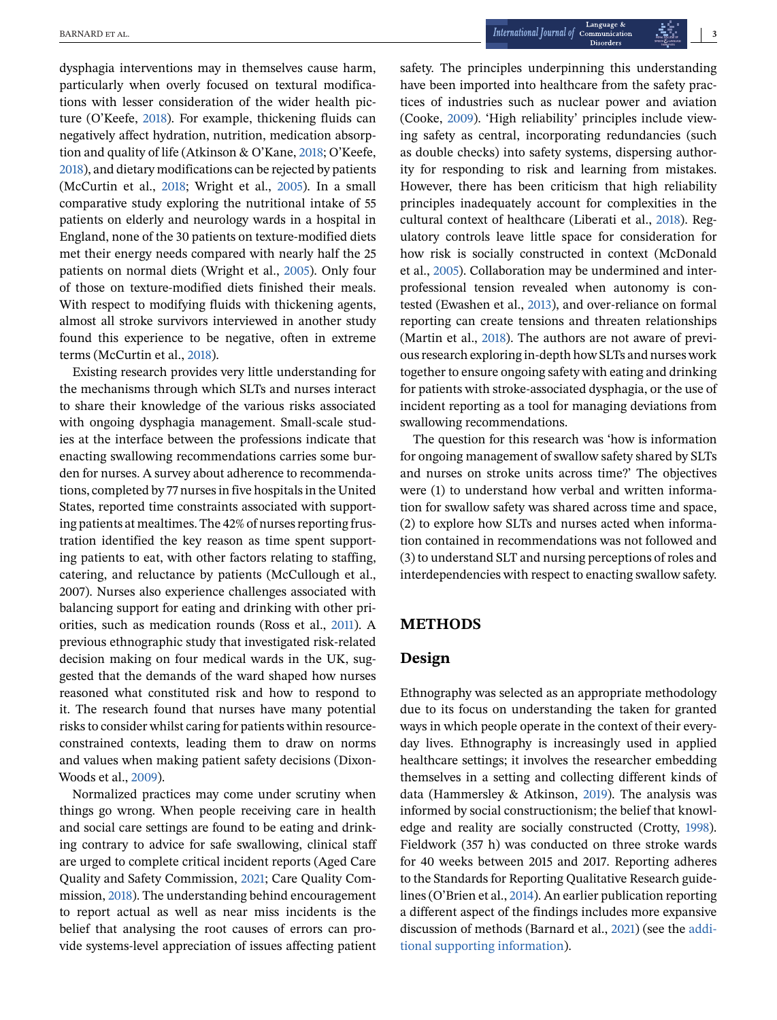dysphagia interventions may in themselves cause harm, particularly when overly focused on textural modifications with lesser consideration of the wider health picture (O'Keefe, [2018\)](#page-12-0). For example, thickening fluids can negatively affect hydration, nutrition, medication absorption and quality of life (Atkinson & O'Kane, [2018;](#page-11-0) O'Keefe, [2018\)](#page-12-0), and dietary modifications can be rejected by patients (McCurtin et al., [2018;](#page-11-0) Wright et al., [2005\)](#page-12-0). In a small comparative study exploring the nutritional intake of 55 patients on elderly and neurology wards in a hospital in England, none of the 30 patients on texture-modified diets met their energy needs compared with nearly half the 25 patients on normal diets (Wright et al., [2005\)](#page-12-0). Only four of those on texture-modified diets finished their meals. With respect to modifying fluids with thickening agents, almost all stroke survivors interviewed in another study found this experience to be negative, often in extreme terms (McCurtin et al., [2018\)](#page-11-0).

Existing research provides very little understanding for the mechanisms through which SLTs and nurses interact to share their knowledge of the various risks associated with ongoing dysphagia management. Small-scale studies at the interface between the professions indicate that enacting swallowing recommendations carries some burden for nurses. A survey about adherence to recommendations, completed by 77 nurses in five hospitals in the United States, reported time constraints associated with supporting patients at mealtimes. The 42% of nurses reporting frustration identified the key reason as time spent supporting patients to eat, with other factors relating to staffing, catering, and reluctance by patients (McCullough et al., 2007). Nurses also experience challenges associated with balancing support for eating and drinking with other priorities, such as medication rounds (Ross et al., [2011\)](#page-12-0). A previous ethnographic study that investigated risk-related decision making on four medical wards in the UK, suggested that the demands of the ward shaped how nurses reasoned what constituted risk and how to respond to it. The research found that nurses have many potential risks to consider whilst caring for patients within resourceconstrained contexts, leading them to draw on norms and values when making patient safety decisions (Dixon-Woods et al., [2009\)](#page-11-0).

Normalized practices may come under scrutiny when things go wrong. When people receiving care in health and social care settings are found to be eating and drinking contrary to advice for safe swallowing, clinical staff are urged to complete critical incident reports (Aged Care Quality and Safety Commission, [2021;](#page-11-0) Care Quality Commission, [2018\)](#page-11-0). The understanding behind encouragement to report actual as well as near miss incidents is the belief that analysing the root causes of errors can provide systems-level appreciation of issues affecting patient

safety. The principles underpinning this understanding have been imported into healthcare from the safety practices of industries such as nuclear power and aviation (Cooke, [2009\)](#page-11-0). 'High reliability' principles include viewing safety as central, incorporating redundancies (such as double checks) into safety systems, dispersing authority for responding to risk and learning from mistakes. However, there has been criticism that high reliability principles inadequately account for complexities in the cultural context of healthcare (Liberati et al., [2018\)](#page-11-0). Regulatory controls leave little space for consideration for how risk is socially constructed in context (McDonald et al., [2005\)](#page-11-0). Collaboration may be undermined and interprofessional tension revealed when autonomy is contested (Ewashen et al., [2013\)](#page-11-0), and over-reliance on formal reporting can create tensions and threaten relationships (Martin et al., [2018\)](#page-11-0). The authors are not aware of previous research exploring in-depth how SLTs and nurses work together to ensure ongoing safety with eating and drinking for patients with stroke-associated dysphagia, or the use of incident reporting as a tool for managing deviations from swallowing recommendations.

The question for this research was 'how is information for ongoing management of swallow safety shared by SLTs and nurses on stroke units across time?' The objectives were (1) to understand how verbal and written information for swallow safety was shared across time and space, (2) to explore how SLTs and nurses acted when information contained in recommendations was not followed and (3) to understand SLT and nursing perceptions of roles and interdependencies with respect to enacting swallow safety.

## **METHODS**

## **Design**

Ethnography was selected as an appropriate methodology due to its focus on understanding the taken for granted ways in which people operate in the context of their everyday lives. Ethnography is increasingly used in applied healthcare settings; it involves the researcher embedding themselves in a setting and collecting different kinds of data (Hammersley & Atkinson, [2019\)](#page-11-0). The analysis was informed by social constructionism; the belief that knowledge and reality are socially constructed (Crotty, [1998\)](#page-11-0). Fieldwork (357 h) was conducted on three stroke wards for 40 weeks between 2015 and 2017. Reporting adheres to the Standards for Reporting Qualitative Research guidelines (O'Brien et al., [2014\)](#page-11-0). An earlier publication reporting a different aspect of the findings includes more expansive discussion of methods (Barnard et al., [2021\)](#page-11-0) (see the additional supporting information).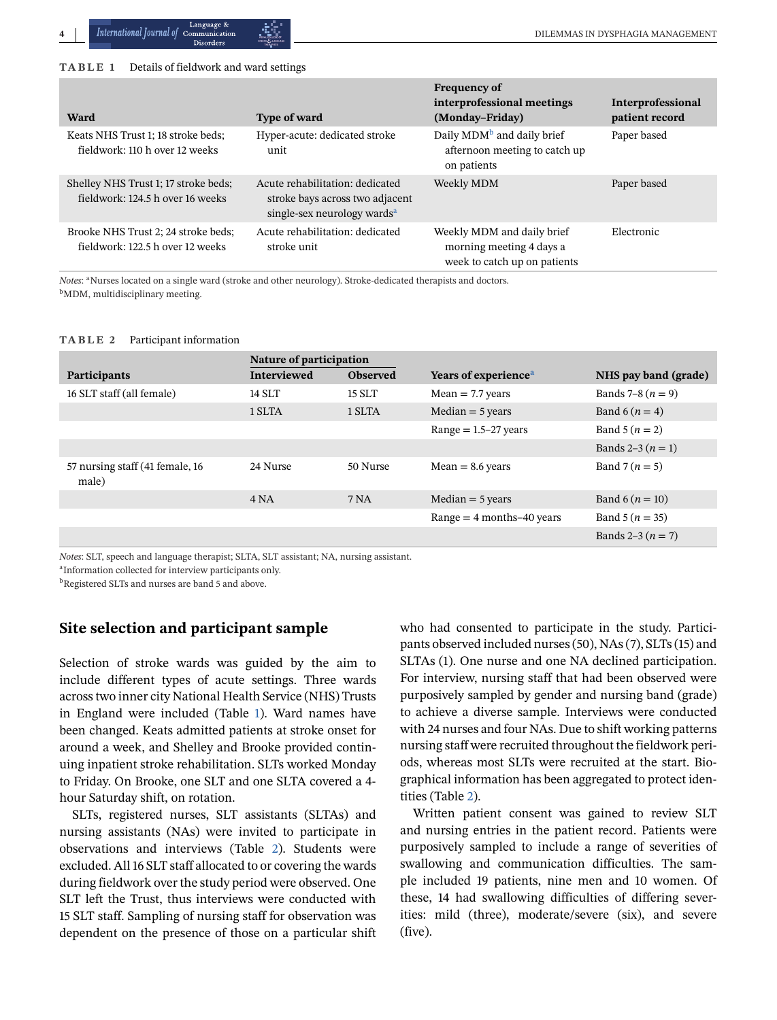#### <span id="page-3-0"></span>**TABLE 1** Details of fieldwork and ward settings

| Ward                                                                     | <b>Type of ward</b>                                                                                           | <b>Frequency of</b><br>interprofessional meetings<br>(Monday-Friday)                   | Interprofessional<br>patient record |
|--------------------------------------------------------------------------|---------------------------------------------------------------------------------------------------------------|----------------------------------------------------------------------------------------|-------------------------------------|
| Keats NHS Trust 1; 18 stroke beds;<br>fieldwork: 110 h over 12 weeks     | Hyper-acute: dedicated stroke<br>unit                                                                         | Daily MDM <sup>b</sup> and daily brief<br>afternoon meeting to catch up<br>on patients | Paper based                         |
| Shelley NHS Trust 1; 17 stroke beds;<br>fieldwork: 124.5 h over 16 weeks | Acute rehabilitation: dedicated<br>stroke bays across two adjacent<br>single-sex neurology wards <sup>a</sup> | Weekly MDM                                                                             | Paper based                         |
| Brooke NHS Trust 2; 24 stroke beds;<br>fieldwork: 122.5 h over 12 weeks  | Acute rehabilitation: dedicated<br>stroke unit                                                                | Weekly MDM and daily brief<br>morning meeting 4 days a<br>week to catch up on patients | Electronic                          |

*Notes*: <sup>a</sup>Nurses located on a single ward (stroke and other neurology). Stroke-dedicated therapists and doctors. b<sub>MDM</sub>, multidisciplinary meeting.

#### **TABLE 2** Participant information

|                                          | Nature of participation |                 |                                  |                      |
|------------------------------------------|-------------------------|-----------------|----------------------------------|----------------------|
| <b>Participants</b>                      | <b>Interviewed</b>      | <b>Observed</b> | Years of experience <sup>a</sup> | NHS pay band (grade) |
| 16 SLT staff (all female)                | 14 SLT                  | 15 SLT          | $Mean = 7.7$ years               | Bands 7–8 $(n = 9)$  |
|                                          | 1 SLTA                  | 1 SLTA          | $Median = 5 years$               | Band 6 $(n = 4)$     |
|                                          |                         |                 | Range $= 1.5 - 27$ years         | Band $5(n = 2)$      |
|                                          |                         |                 |                                  | Bands 2–3 $(n = 1)$  |
| 57 nursing staff (41 female, 16<br>male) | 24 Nurse                | 50 Nurse        | $Mean = 8.6$ years               | Band 7 $(n = 5)$     |
|                                          | 4 NA                    | 7 NA            | $Median = 5 years$               | Band $6(n = 10)$     |
|                                          |                         |                 | Range $=$ 4 months–40 years      | Band $5(n = 35)$     |
|                                          |                         |                 |                                  | Bands $2-3(n = 7)$   |

*Notes*: SLT, speech and language therapist; SLTA, SLT assistant; NA, nursing assistant.

<sup>a</sup>Information collected for interview participants only.

**b**Registered SLTs and nurses are band 5 and above.

## **Site selection and participant sample**

Selection of stroke wards was guided by the aim to include different types of acute settings. Three wards across two inner city National Health Service (NHS) Trusts in England were included (Table 1). Ward names have been changed. Keats admitted patients at stroke onset for around a week, and Shelley and Brooke provided continuing inpatient stroke rehabilitation. SLTs worked Monday to Friday. On Brooke, one SLT and one SLTA covered a 4 hour Saturday shift, on rotation.

SLTs, registered nurses, SLT assistants (SLTAs) and nursing assistants (NAs) were invited to participate in observations and interviews (Table 2). Students were excluded. All 16 SLT staff allocated to or covering the wards during fieldwork over the study period were observed. One SLT left the Trust, thus interviews were conducted with 15 SLT staff. Sampling of nursing staff for observation was dependent on the presence of those on a particular shift

who had consented to participate in the study. Participants observed included nurses (50), NAs (7), SLTs (15) and SLTAs (1). One nurse and one NA declined participation. For interview, nursing staff that had been observed were purposively sampled by gender and nursing band (grade) to achieve a diverse sample. Interviews were conducted with 24 nurses and four NAs. Due to shift working patterns nursing staff were recruited throughout the fieldwork periods, whereas most SLTs were recruited at the start. Biographical information has been aggregated to protect identities (Table 2).

Written patient consent was gained to review SLT and nursing entries in the patient record. Patients were purposively sampled to include a range of severities of swallowing and communication difficulties. The sample included 19 patients, nine men and 10 women. Of these, 14 had swallowing difficulties of differing severities: mild (three), moderate/severe (six), and severe (five).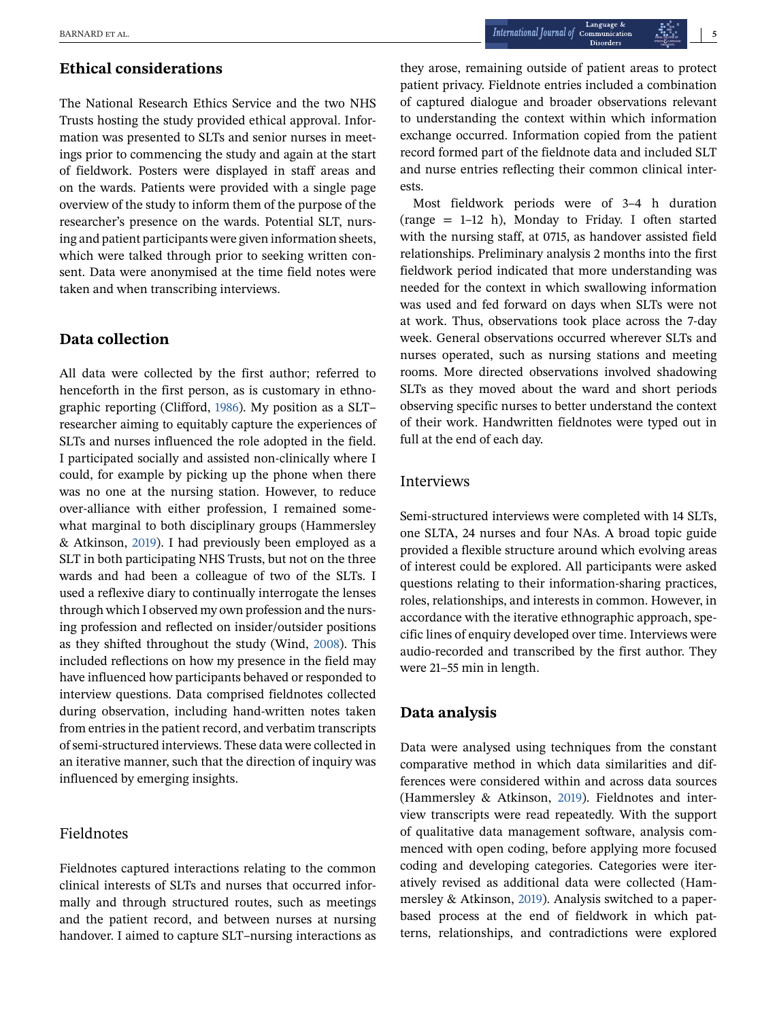# **Ethical considerations**

The National Research Ethics Service and the two NHS Trusts hosting the study provided ethical approval. Information was presented to SLTs and senior nurses in meetings prior to commencing the study and again at the start of fieldwork. Posters were displayed in staff areas and on the wards. Patients were provided with a single page overview of the study to inform them of the purpose of the researcher's presence on the wards. Potential SLT, nursing and patient participants were given information sheets, which were talked through prior to seeking written consent. Data were anonymised at the time field notes were taken and when transcribing interviews.

## **Data collection**

All data were collected by the first author; referred to henceforth in the first person, as is customary in ethnographic reporting (Clifford, [1986\)](#page-11-0). My position as a SLT– researcher aiming to equitably capture the experiences of SLTs and nurses influenced the role adopted in the field. I participated socially and assisted non-clinically where I could, for example by picking up the phone when there was no one at the nursing station. However, to reduce over-alliance with either profession, I remained somewhat marginal to both disciplinary groups (Hammersley & Atkinson, [2019\)](#page-11-0). I had previously been employed as a SLT in both participating NHS Trusts, but not on the three wards and had been a colleague of two of the SLTs. I used a reflexive diary to continually interrogate the lenses through which I observed my own profession and the nursing profession and reflected on insider/outsider positions as they shifted throughout the study (Wind, [2008\)](#page-12-0). This included reflections on how my presence in the field may have influenced how participants behaved or responded to interview questions. Data comprised fieldnotes collected during observation, including hand-written notes taken from entries in the patient record, and verbatim transcripts of semi-structured interviews. These data were collected in an iterative manner, such that the direction of inquiry was influenced by emerging insights.

## Fieldnotes

Fieldnotes captured interactions relating to the common clinical interests of SLTs and nurses that occurred informally and through structured routes, such as meetings and the patient record, and between nurses at nursing handover. I aimed to capture SLT–nursing interactions as

they arose, remaining outside of patient areas to protect patient privacy. Fieldnote entries included a combination of captured dialogue and broader observations relevant to understanding the context within which information exchange occurred. Information copied from the patient record formed part of the fieldnote data and included SLT and nurse entries reflecting their common clinical interests.

Most fieldwork periods were of 3–4 h duration (range = 1–12 h), Monday to Friday. I often started with the nursing staff, at 0715, as handover assisted field relationships. Preliminary analysis 2 months into the first fieldwork period indicated that more understanding was needed for the context in which swallowing information was used and fed forward on days when SLTs were not at work. Thus, observations took place across the 7-day week. General observations occurred wherever SLTs and nurses operated, such as nursing stations and meeting rooms. More directed observations involved shadowing SLTs as they moved about the ward and short periods observing specific nurses to better understand the context of their work. Handwritten fieldnotes were typed out in full at the end of each day.

#### Interviews

Semi-structured interviews were completed with 14 SLTs, one SLTA, 24 nurses and four NAs. A broad topic guide provided a flexible structure around which evolving areas of interest could be explored. All participants were asked questions relating to their information-sharing practices, roles, relationships, and interests in common. However, in accordance with the iterative ethnographic approach, specific lines of enquiry developed over time. Interviews were audio-recorded and transcribed by the first author. They were 21–55 min in length.

## **Data analysis**

Data were analysed using techniques from the constant comparative method in which data similarities and differences were considered within and across data sources (Hammersley & Atkinson, [2019\)](#page-11-0). Fieldnotes and interview transcripts were read repeatedly. With the support of qualitative data management software, analysis commenced with open coding, before applying more focused coding and developing categories. Categories were iteratively revised as additional data were collected (Hammersley & Atkinson, [2019\)](#page-11-0). Analysis switched to a paperbased process at the end of fieldwork in which patterns, relationships, and contradictions were explored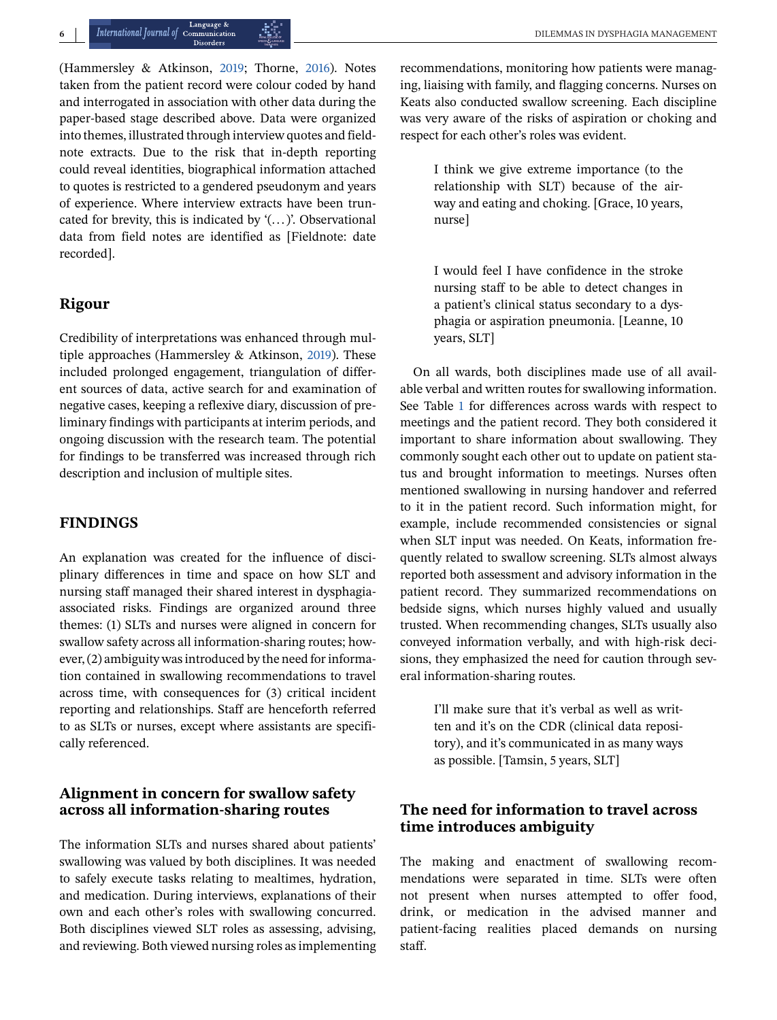(Hammersley & Atkinson, [2019;](#page-11-0) Thorne, [2016\)](#page-12-0). Notes taken from the patient record were colour coded by hand and interrogated in association with other data during the paper-based stage described above. Data were organized into themes, illustrated through interview quotes and fieldnote extracts. Due to the risk that in-depth reporting could reveal identities, biographical information attached to quotes is restricted to a gendered pseudonym and years of experience. Where interview extracts have been truncated for brevity, this is indicated by  $'(\ldots)$ . Observational data from field notes are identified as [Fieldnote: date recorded].

# **Rigour**

Credibility of interpretations was enhanced through multiple approaches (Hammersley & Atkinson, [2019\)](#page-11-0). These included prolonged engagement, triangulation of different sources of data, active search for and examination of negative cases, keeping a reflexive diary, discussion of preliminary findings with participants at interim periods, and ongoing discussion with the research team. The potential for findings to be transferred was increased through rich description and inclusion of multiple sites.

# **FINDINGS**

An explanation was created for the influence of disciplinary differences in time and space on how SLT and nursing staff managed their shared interest in dysphagiaassociated risks. Findings are organized around three themes: (1) SLTs and nurses were aligned in concern for swallow safety across all information-sharing routes; however, (2) ambiguity was introduced by the need for information contained in swallowing recommendations to travel across time, with consequences for (3) critical incident reporting and relationships. Staff are henceforth referred to as SLTs or nurses, except where assistants are specifically referenced.

# **Alignment in concern for swallow safety across all information-sharing routes**

The information SLTs and nurses shared about patients' swallowing was valued by both disciplines. It was needed to safely execute tasks relating to mealtimes, hydration, and medication. During interviews, explanations of their own and each other's roles with swallowing concurred. Both disciplines viewed SLT roles as assessing, advising, and reviewing. Both viewed nursing roles as implementing

recommendations, monitoring how patients were managing, liaising with family, and flagging concerns. Nurses on Keats also conducted swallow screening. Each discipline was very aware of the risks of aspiration or choking and respect for each other's roles was evident.

> I think we give extreme importance (to the relationship with SLT) because of the airway and eating and choking. [Grace, 10 years, nurse]

> I would feel I have confidence in the stroke nursing staff to be able to detect changes in a patient's clinical status secondary to a dysphagia or aspiration pneumonia. [Leanne, 10 years, SLT]

On all wards, both disciplines made use of all available verbal and written routes for swallowing information. See Table [1](#page-3-0) for differences across wards with respect to meetings and the patient record. They both considered it important to share information about swallowing. They commonly sought each other out to update on patient status and brought information to meetings. Nurses often mentioned swallowing in nursing handover and referred to it in the patient record. Such information might, for example, include recommended consistencies or signal when SLT input was needed. On Keats, information frequently related to swallow screening. SLTs almost always reported both assessment and advisory information in the patient record. They summarized recommendations on bedside signs, which nurses highly valued and usually trusted. When recommending changes, SLTs usually also conveyed information verbally, and with high-risk decisions, they emphasized the need for caution through several information-sharing routes.

> I'll make sure that it's verbal as well as written and it's on the CDR (clinical data repository), and it's communicated in as many ways as possible. [Tamsin, 5 years, SLT]

# **The need for information to travel across time introduces ambiguity**

The making and enactment of swallowing recommendations were separated in time. SLTs were often not present when nurses attempted to offer food, drink, or medication in the advised manner and patient-facing realities placed demands on nursing staff.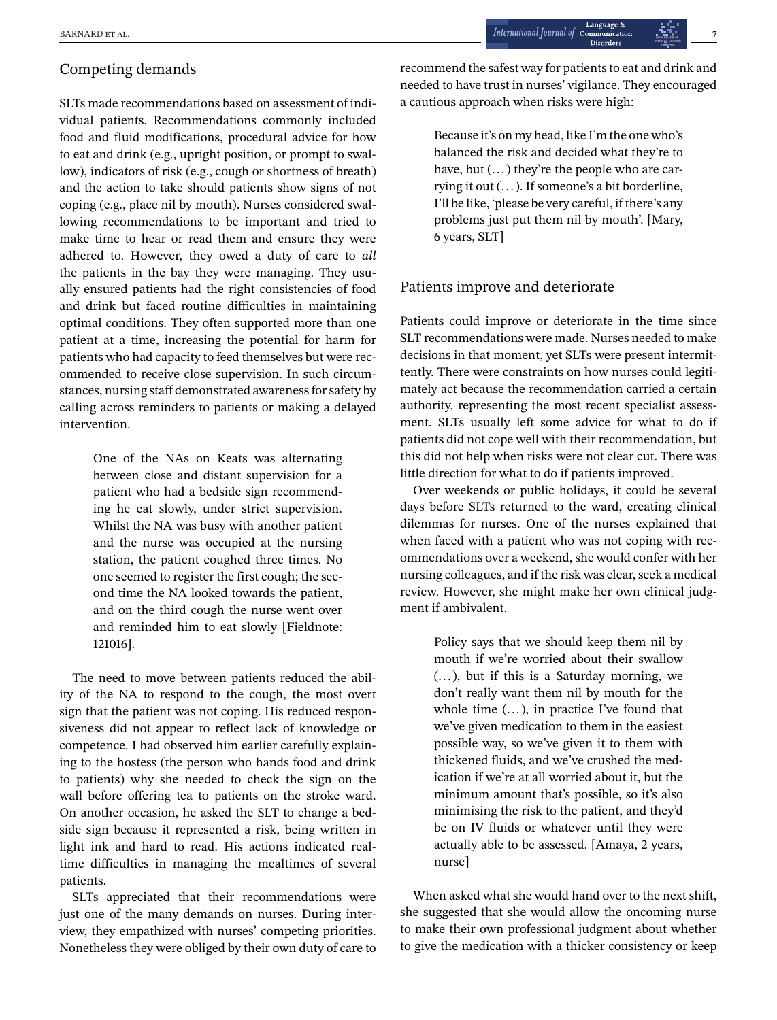## Competing demands

SLTs made recommendations based on assessment of individual patients. Recommendations commonly included food and fluid modifications, procedural advice for how to eat and drink (e.g., upright position, or prompt to swallow), indicators of risk (e.g., cough or shortness of breath) and the action to take should patients show signs of not coping (e.g., place nil by mouth). Nurses considered swallowing recommendations to be important and tried to make time to hear or read them and ensure they were adhered to. However, they owed a duty of care to *all* the patients in the bay they were managing. They usually ensured patients had the right consistencies of food and drink but faced routine difficulties in maintaining optimal conditions. They often supported more than one patient at a time, increasing the potential for harm for patients who had capacity to feed themselves but were recommended to receive close supervision. In such circumstances, nursing staff demonstrated awareness for safety by calling across reminders to patients or making a delayed intervention.

> One of the NAs on Keats was alternating between close and distant supervision for a patient who had a bedside sign recommending he eat slowly, under strict supervision. Whilst the NA was busy with another patient and the nurse was occupied at the nursing station, the patient coughed three times. No one seemed to register the first cough; the second time the NA looked towards the patient, and on the third cough the nurse went over and reminded him to eat slowly [Fieldnote: 121016].

The need to move between patients reduced the ability of the NA to respond to the cough, the most overt sign that the patient was not coping. His reduced responsiveness did not appear to reflect lack of knowledge or competence. I had observed him earlier carefully explaining to the hostess (the person who hands food and drink to patients) why she needed to check the sign on the wall before offering tea to patients on the stroke ward. On another occasion, he asked the SLT to change a bedside sign because it represented a risk, being written in light ink and hard to read. His actions indicated realtime difficulties in managing the mealtimes of several patients.

SLTs appreciated that their recommendations were just one of the many demands on nurses. During interview, they empathized with nurses' competing priorities. Nonetheless they were obliged by their own duty of care to recommend the safest way for patients to eat and drink and needed to have trust in nurses' vigilance. They encouraged a cautious approach when risks were high:

> Because it's on my head, like I'm the one who's balanced the risk and decided what they're to have, but  $(...)$  they're the people who are carrying it out (... ). If someone's a bit borderline, I'll be like, 'please be very careful, if there's any problems just put them nil by mouth'. [Mary, 6 years, SLT]

# Patients improve and deteriorate

Patients could improve or deteriorate in the time since SLT recommendations were made. Nurses needed to make decisions in that moment, yet SLTs were present intermittently. There were constraints on how nurses could legitimately act because the recommendation carried a certain authority, representing the most recent specialist assessment. SLTs usually left some advice for what to do if patients did not cope well with their recommendation, but this did not help when risks were not clear cut. There was little direction for what to do if patients improved.

Over weekends or public holidays, it could be several days before SLTs returned to the ward, creating clinical dilemmas for nurses. One of the nurses explained that when faced with a patient who was not coping with recommendations over a weekend, she would confer with her nursing colleagues, and if the risk was clear, seek a medical review. However, she might make her own clinical judgment if ambivalent.

> Policy says that we should keep them nil by mouth if we're worried about their swallow (... ), but if this is a Saturday morning, we don't really want them nil by mouth for the whole time  $(...)$ , in practice I've found that we've given medication to them in the easiest possible way, so we've given it to them with thickened fluids, and we've crushed the medication if we're at all worried about it, but the minimum amount that's possible, so it's also minimising the risk to the patient, and they'd be on IV fluids or whatever until they were actually able to be assessed. [Amaya, 2 years, nurse]

When asked what she would hand over to the next shift, she suggested that she would allow the oncoming nurse to make their own professional judgment about whether to give the medication with a thicker consistency or keep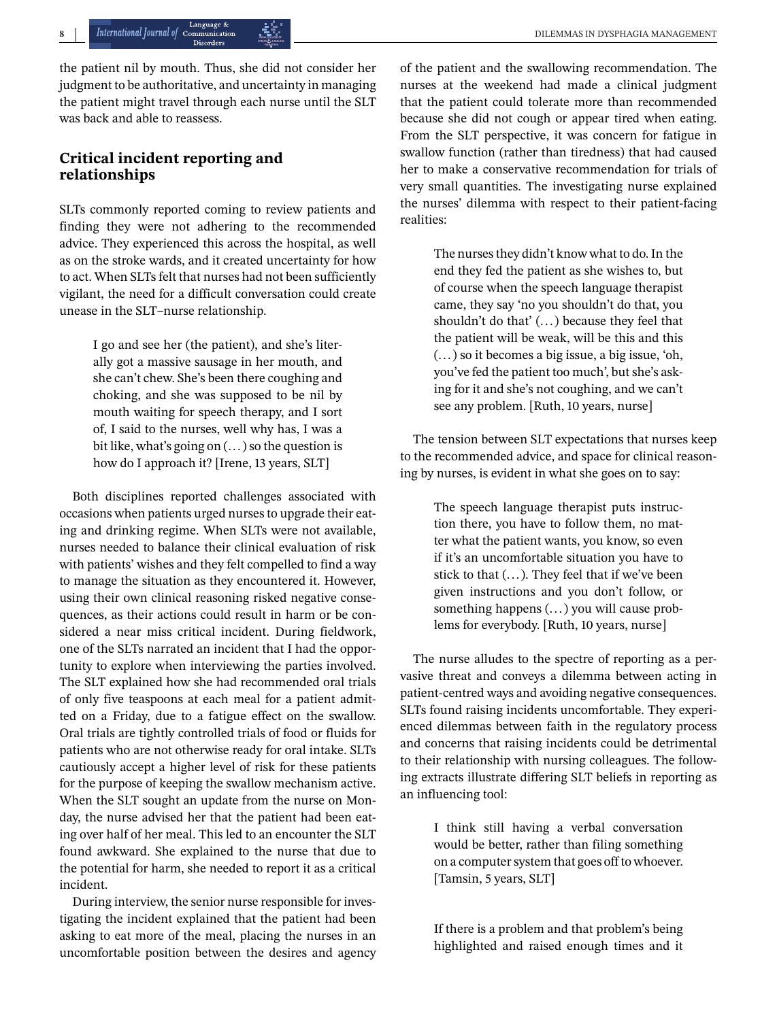the patient nil by mouth. Thus, she did not consider her judgment to be authoritative, and uncertainty in managing the patient might travel through each nurse until the SLT was back and able to reassess.

# **Critical incident reporting and relationships**

SLTs commonly reported coming to review patients and finding they were not adhering to the recommended advice. They experienced this across the hospital, as well as on the stroke wards, and it created uncertainty for how to act. When SLTs felt that nurses had not been sufficiently vigilant, the need for a difficult conversation could create unease in the SLT–nurse relationship.

> I go and see her (the patient), and she's literally got a massive sausage in her mouth, and she can't chew. She's been there coughing and choking, and she was supposed to be nil by mouth waiting for speech therapy, and I sort of, I said to the nurses, well why has, I was a bit like, what's going on (... ) so the question is how do I approach it? [Irene, 13 years, SLT]

Both disciplines reported challenges associated with occasions when patients urged nurses to upgrade their eating and drinking regime. When SLTs were not available, nurses needed to balance their clinical evaluation of risk with patients' wishes and they felt compelled to find a way to manage the situation as they encountered it. However, using their own clinical reasoning risked negative consequences, as their actions could result in harm or be considered a near miss critical incident. During fieldwork, one of the SLTs narrated an incident that I had the opportunity to explore when interviewing the parties involved. The SLT explained how she had recommended oral trials of only five teaspoons at each meal for a patient admitted on a Friday, due to a fatigue effect on the swallow. Oral trials are tightly controlled trials of food or fluids for patients who are not otherwise ready for oral intake. SLTs cautiously accept a higher level of risk for these patients for the purpose of keeping the swallow mechanism active. When the SLT sought an update from the nurse on Monday, the nurse advised her that the patient had been eating over half of her meal. This led to an encounter the SLT found awkward. She explained to the nurse that due to the potential for harm, she needed to report it as a critical incident.

During interview, the senior nurse responsible for investigating the incident explained that the patient had been asking to eat more of the meal, placing the nurses in an uncomfortable position between the desires and agency of the patient and the swallowing recommendation. The nurses at the weekend had made a clinical judgment that the patient could tolerate more than recommended because she did not cough or appear tired when eating. From the SLT perspective, it was concern for fatigue in swallow function (rather than tiredness) that had caused her to make a conservative recommendation for trials of very small quantities. The investigating nurse explained the nurses' dilemma with respect to their patient-facing realities:

> The nurses they didn't know what to do. In the end they fed the patient as she wishes to, but of course when the speech language therapist came, they say 'no you shouldn't do that, you shouldn't do that' (... ) because they feel that the patient will be weak, will be this and this (... ) so it becomes a big issue, a big issue, 'oh, you've fed the patient too much', but she's asking for it and she's not coughing, and we can't see any problem. [Ruth, 10 years, nurse]

The tension between SLT expectations that nurses keep to the recommended advice, and space for clinical reasoning by nurses, is evident in what she goes on to say:

> The speech language therapist puts instruction there, you have to follow them, no matter what the patient wants, you know, so even if it's an uncomfortable situation you have to stick to that (... ). They feel that if we've been given instructions and you don't follow, or something happens (... ) you will cause problems for everybody. [Ruth, 10 years, nurse]

The nurse alludes to the spectre of reporting as a pervasive threat and conveys a dilemma between acting in patient-centred ways and avoiding negative consequences. SLTs found raising incidents uncomfortable. They experienced dilemmas between faith in the regulatory process and concerns that raising incidents could be detrimental to their relationship with nursing colleagues. The following extracts illustrate differing SLT beliefs in reporting as an influencing tool:

> I think still having a verbal conversation would be better, rather than filing something on a computer system that goes off to whoever. [Tamsin, 5 years, SLT]

> If there is a problem and that problem's being highlighted and raised enough times and it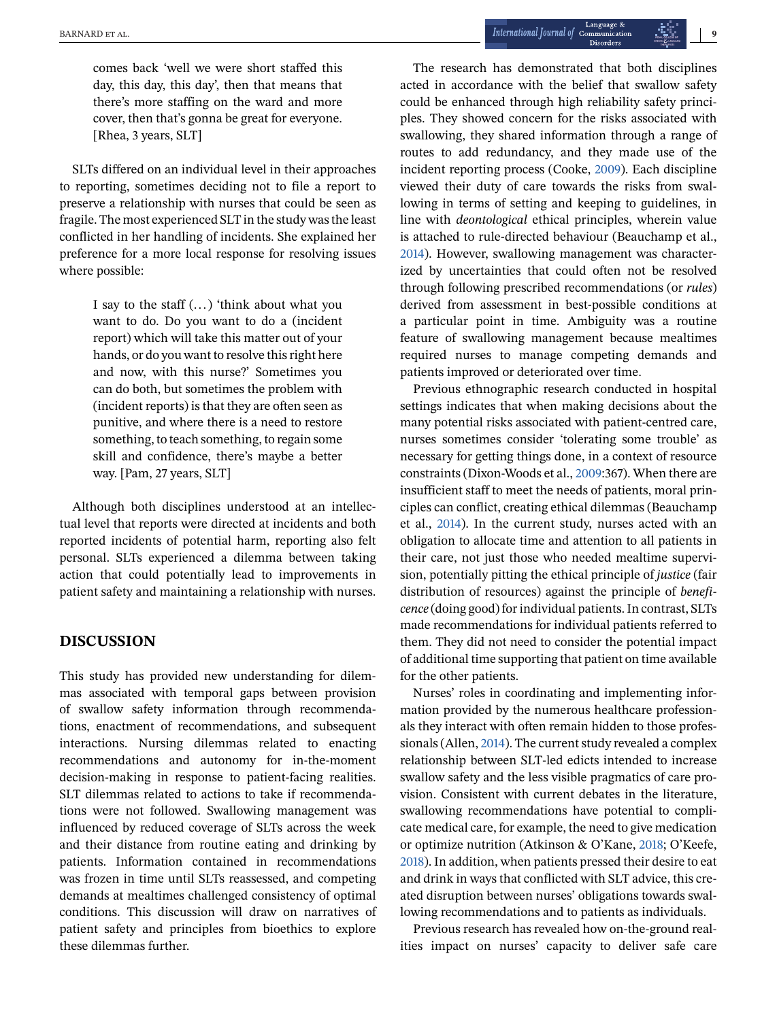comes back 'well we were short staffed this day, this day, this day', then that means that there's more staffing on the ward and more cover, then that's gonna be great for everyone. [Rhea, 3 years, SLT]

SLTs differed on an individual level in their approaches to reporting, sometimes deciding not to file a report to preserve a relationship with nurses that could be seen as fragile. The most experienced SLT in the study was the least conflicted in her handling of incidents. She explained her preference for a more local response for resolving issues where possible:

> I say to the staff (... ) 'think about what you want to do. Do you want to do a (incident report) which will take this matter out of your hands, or do you want to resolve this right here and now, with this nurse?' Sometimes you can do both, but sometimes the problem with (incident reports) is that they are often seen as punitive, and where there is a need to restore something, to teach something, to regain some skill and confidence, there's maybe a better way. [Pam, 27 years, SLT]

Although both disciplines understood at an intellectual level that reports were directed at incidents and both reported incidents of potential harm, reporting also felt personal. SLTs experienced a dilemma between taking action that could potentially lead to improvements in patient safety and maintaining a relationship with nurses.

## **DISCUSSION**

This study has provided new understanding for dilemmas associated with temporal gaps between provision of swallow safety information through recommendations, enactment of recommendations, and subsequent interactions. Nursing dilemmas related to enacting recommendations and autonomy for in-the-moment decision-making in response to patient-facing realities. SLT dilemmas related to actions to take if recommendations were not followed. Swallowing management was influenced by reduced coverage of SLTs across the week and their distance from routine eating and drinking by patients. Information contained in recommendations was frozen in time until SLTs reassessed, and competing demands at mealtimes challenged consistency of optimal conditions. This discussion will draw on narratives of patient safety and principles from bioethics to explore these dilemmas further.

The research has demonstrated that both disciplines acted in accordance with the belief that swallow safety could be enhanced through high reliability safety principles. They showed concern for the risks associated with swallowing, they shared information through a range of routes to add redundancy, and they made use of the incident reporting process (Cooke, [2009\)](#page-11-0). Each discipline viewed their duty of care towards the risks from swallowing in terms of setting and keeping to guidelines, in line with *deontological* ethical principles, wherein value is attached to rule-directed behaviour (Beauchamp et al., [2014\)](#page-11-0). However, swallowing management was characterized by uncertainties that could often not be resolved through following prescribed recommendations (or *rules*) derived from assessment in best-possible conditions at a particular point in time. Ambiguity was a routine feature of swallowing management because mealtimes required nurses to manage competing demands and patients improved or deteriorated over time.

Previous ethnographic research conducted in hospital settings indicates that when making decisions about the many potential risks associated with patient-centred care, nurses sometimes consider 'tolerating some trouble' as necessary for getting things done, in a context of resource constraints (Dixon-Woods et al., [2009:](#page-11-0)367). When there are insufficient staff to meet the needs of patients, moral principles can conflict, creating ethical dilemmas (Beauchamp et al., [2014\)](#page-11-0). In the current study, nurses acted with an obligation to allocate time and attention to all patients in their care, not just those who needed mealtime supervision, potentially pitting the ethical principle of *justice* (fair distribution of resources) against the principle of *beneficence* (doing good) for individual patients. In contrast, SLTs made recommendations for individual patients referred to them. They did not need to consider the potential impact of additional time supporting that patient on time available for the other patients.

Nurses' roles in coordinating and implementing information provided by the numerous healthcare professionals they interact with often remain hidden to those professionals (Allen, [2014\)](#page-11-0). The current study revealed a complex relationship between SLT-led edicts intended to increase swallow safety and the less visible pragmatics of care provision. Consistent with current debates in the literature, swallowing recommendations have potential to complicate medical care, for example, the need to give medication or optimize nutrition (Atkinson & O'Kane, [2018;](#page-11-0) O'Keefe, [2018\)](#page-12-0). In addition, when patients pressed their desire to eat and drink in ways that conflicted with SLT advice, this created disruption between nurses' obligations towards swallowing recommendations and to patients as individuals.

Previous research has revealed how on-the-ground realities impact on nurses' capacity to deliver safe care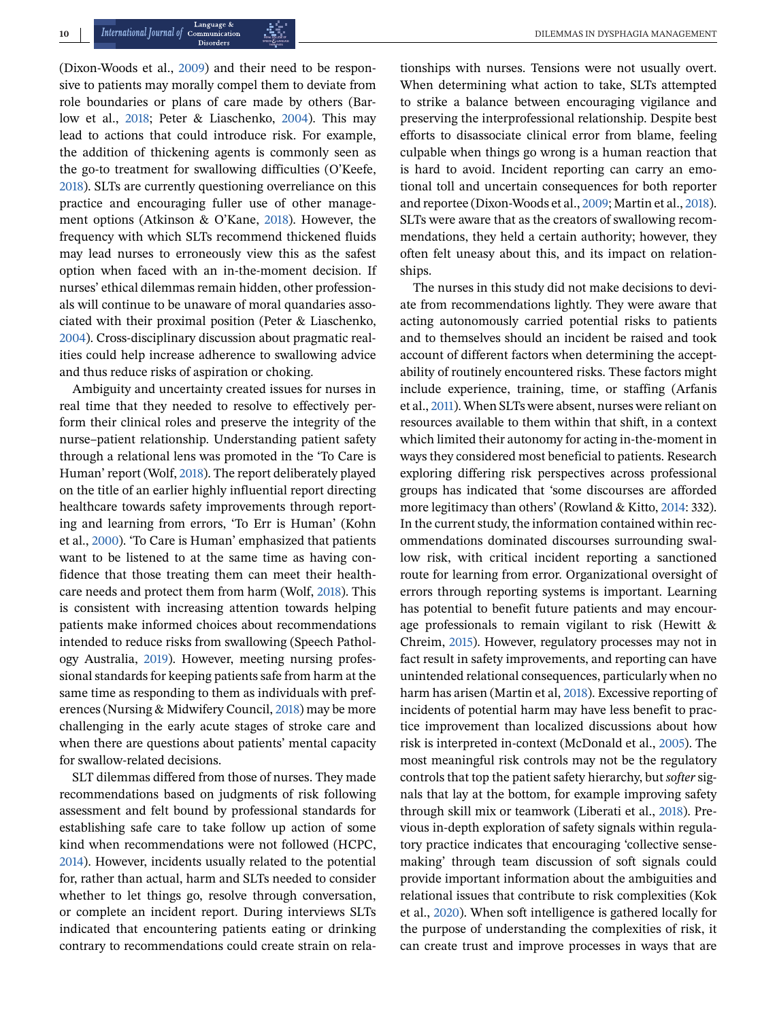(Dixon-Woods et al., [2009\)](#page-11-0) and their need to be responsive to patients may morally compel them to deviate from role boundaries or plans of care made by others (Barlow et al., [2018;](#page-11-0) Peter & Liaschenko, [2004\)](#page-12-0). This may lead to actions that could introduce risk. For example, the addition of thickening agents is commonly seen as the go-to treatment for swallowing difficulties (O'Keefe, [2018\)](#page-12-0). SLTs are currently questioning overreliance on this practice and encouraging fuller use of other management options (Atkinson & O'Kane, [2018\)](#page-11-0). However, the frequency with which SLTs recommend thickened fluids may lead nurses to erroneously view this as the safest option when faced with an in-the-moment decision. If nurses' ethical dilemmas remain hidden, other professionals will continue to be unaware of moral quandaries associated with their proximal position (Peter & Liaschenko, [2004\)](#page-12-0). Cross-disciplinary discussion about pragmatic realities could help increase adherence to swallowing advice and thus reduce risks of aspiration or choking.

Ambiguity and uncertainty created issues for nurses in real time that they needed to resolve to effectively perform their clinical roles and preserve the integrity of the nurse–patient relationship. Understanding patient safety through a relational lens was promoted in the 'To Care is Human' report (Wolf, [2018\)](#page-12-0). The report deliberately played on the title of an earlier highly influential report directing healthcare towards safety improvements through reporting and learning from errors, 'To Err is Human' (Kohn et al., [2000\)](#page-11-0). 'To Care is Human' emphasized that patients want to be listened to at the same time as having confidence that those treating them can meet their healthcare needs and protect them from harm (Wolf, [2018\)](#page-12-0). This is consistent with increasing attention towards helping patients make informed choices about recommendations intended to reduce risks from swallowing (Speech Pathology Australia, [2019\)](#page-12-0). However, meeting nursing professional standards for keeping patients safe from harm at the same time as responding to them as individuals with preferences (Nursing & Midwifery Council, [2018\)](#page-11-0) may be more challenging in the early acute stages of stroke care and when there are questions about patients' mental capacity for swallow-related decisions.

SLT dilemmas differed from those of nurses. They made recommendations based on judgments of risk following assessment and felt bound by professional standards for establishing safe care to take follow up action of some kind when recommendations were not followed (HCPC, [2014\)](#page-11-0). However, incidents usually related to the potential for, rather than actual, harm and SLTs needed to consider whether to let things go, resolve through conversation, or complete an incident report. During interviews SLTs indicated that encountering patients eating or drinking contrary to recommendations could create strain on rela-

tionships with nurses. Tensions were not usually overt. When determining what action to take, SLTs attempted to strike a balance between encouraging vigilance and preserving the interprofessional relationship. Despite best efforts to disassociate clinical error from blame, feeling culpable when things go wrong is a human reaction that is hard to avoid. Incident reporting can carry an emotional toll and uncertain consequences for both reporter and reportee (Dixon-Woods et al., [2009;](#page-11-0) Martin et al., [2018\)](#page-11-0). SLTs were aware that as the creators of swallowing recommendations, they held a certain authority; however, they often felt uneasy about this, and its impact on relationships.

The nurses in this study did not make decisions to deviate from recommendations lightly. They were aware that acting autonomously carried potential risks to patients and to themselves should an incident be raised and took account of different factors when determining the acceptability of routinely encountered risks. These factors might include experience, training, time, or staffing (Arfanis et al., [2011\)](#page-11-0). When SLTs were absent, nurses were reliant on resources available to them within that shift, in a context which limited their autonomy for acting in-the-moment in ways they considered most beneficial to patients. Research exploring differing risk perspectives across professional groups has indicated that 'some discourses are afforded more legitimacy than others' (Rowland & Kitto, [2014:](#page-12-0) 332). In the current study, the information contained within recommendations dominated discourses surrounding swallow risk, with critical incident reporting a sanctioned route for learning from error. Organizational oversight of errors through reporting systems is important. Learning has potential to benefit future patients and may encourage professionals to remain vigilant to risk (Hewitt & Chreim, [2015\)](#page-11-0). However, regulatory processes may not in fact result in safety improvements, and reporting can have unintended relational consequences, particularly when no harm has arisen (Martin et al, [2018\)](#page-11-0). Excessive reporting of incidents of potential harm may have less benefit to practice improvement than localized discussions about how risk is interpreted in-context (McDonald et al., [2005\)](#page-11-0). The most meaningful risk controls may not be the regulatory controls that top the patient safety hierarchy, but *softer* signals that lay at the bottom, for example improving safety through skill mix or teamwork (Liberati et al., [2018\)](#page-11-0). Previous in-depth exploration of safety signals within regulatory practice indicates that encouraging 'collective sensemaking' through team discussion of soft signals could provide important information about the ambiguities and relational issues that contribute to risk complexities (Kok et al., [2020\)](#page-11-0). When soft intelligence is gathered locally for the purpose of understanding the complexities of risk, it can create trust and improve processes in ways that are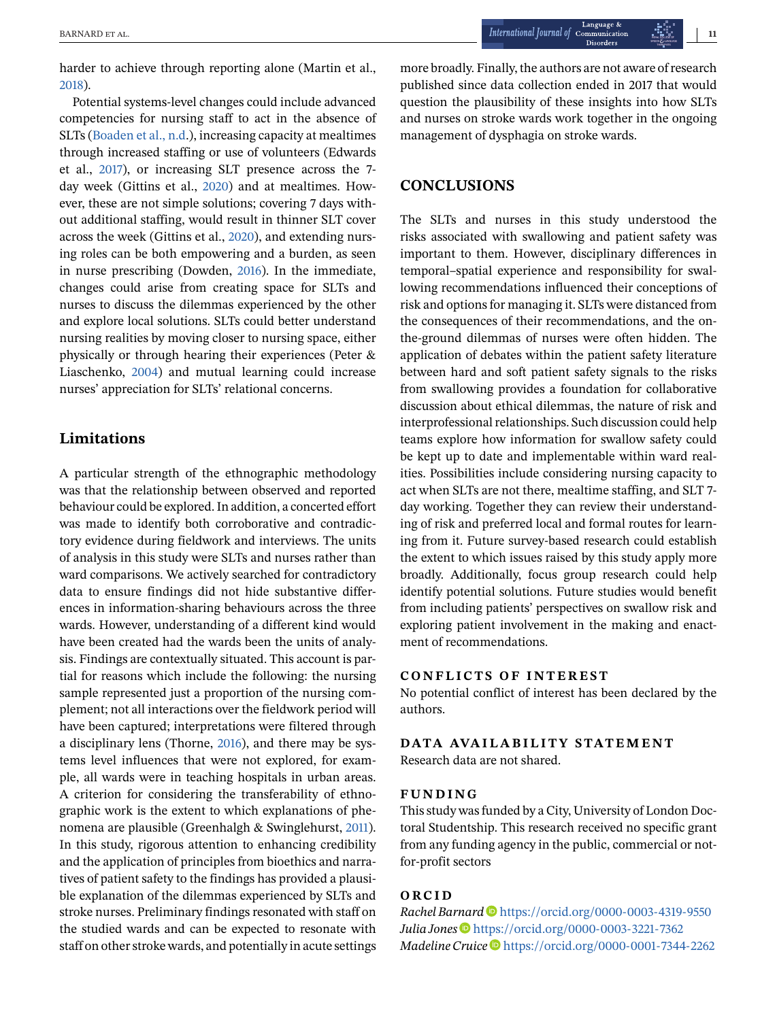harder to achieve through reporting alone (Martin et al., [2018\)](#page-11-0).

Potential systems-level changes could include advanced competencies for nursing staff to act in the absence of SLTs [\(Boaden et al., n.d.](#page-11-0)), increasing capacity at mealtimes through increased staffing or use of volunteers (Edwards et al., [2017\)](#page-11-0), or increasing SLT presence across the 7 day week (Gittins et al., [2020\)](#page-11-0) and at mealtimes. However, these are not simple solutions; covering 7 days without additional staffing, would result in thinner SLT cover across the week (Gittins et al., [2020\)](#page-11-0), and extending nursing roles can be both empowering and a burden, as seen in nurse prescribing (Dowden, [2016\)](#page-11-0). In the immediate, changes could arise from creating space for SLTs and nurses to discuss the dilemmas experienced by the other and explore local solutions. SLTs could better understand nursing realities by moving closer to nursing space, either physically or through hearing their experiences (Peter & Liaschenko, [2004\)](#page-12-0) and mutual learning could increase nurses' appreciation for SLTs' relational concerns.

## **Limitations**

A particular strength of the ethnographic methodology was that the relationship between observed and reported behaviour could be explored. In addition, a concerted effort was made to identify both corroborative and contradictory evidence during fieldwork and interviews. The units of analysis in this study were SLTs and nurses rather than ward comparisons. We actively searched for contradictory data to ensure findings did not hide substantive differences in information-sharing behaviours across the three wards. However, understanding of a different kind would have been created had the wards been the units of analysis. Findings are contextually situated. This account is partial for reasons which include the following: the nursing sample represented just a proportion of the nursing complement; not all interactions over the fieldwork period will have been captured; interpretations were filtered through a disciplinary lens (Thorne, [2016\)](#page-12-0), and there may be systems level influences that were not explored, for example, all wards were in teaching hospitals in urban areas. A criterion for considering the transferability of ethnographic work is the extent to which explanations of phenomena are plausible (Greenhalgh & Swinglehurst, [2011\)](#page-11-0). In this study, rigorous attention to enhancing credibility and the application of principles from bioethics and narratives of patient safety to the findings has provided a plausible explanation of the dilemmas experienced by SLTs and stroke nurses. Preliminary findings resonated with staff on the studied wards and can be expected to resonate with staff on other stroke wards, and potentially in acute settings

more broadly. Finally, the authors are not aware of research published since data collection ended in 2017 that would question the plausibility of these insights into how SLTs and nurses on stroke wards work together in the ongoing management of dysphagia on stroke wards.

## **CONCLUSIONS**

The SLTs and nurses in this study understood the risks associated with swallowing and patient safety was important to them. However, disciplinary differences in temporal–spatial experience and responsibility for swallowing recommendations influenced their conceptions of risk and options for managing it. SLTs were distanced from the consequences of their recommendations, and the onthe-ground dilemmas of nurses were often hidden. The application of debates within the patient safety literature between hard and soft patient safety signals to the risks from swallowing provides a foundation for collaborative discussion about ethical dilemmas, the nature of risk and interprofessional relationships. Such discussion could help teams explore how information for swallow safety could be kept up to date and implementable within ward realities. Possibilities include considering nursing capacity to act when SLTs are not there, mealtime staffing, and SLT 7 day working. Together they can review their understanding of risk and preferred local and formal routes for learning from it. Future survey-based research could establish the extent to which issues raised by this study apply more broadly. Additionally, focus group research could help identify potential solutions. Future studies would benefit from including patients' perspectives on swallow risk and exploring patient involvement in the making and enactment of recommendations.

## **CONFLICTS OF INTEREST**

No potential conflict of interest has been declared by the authors.

#### **DATA AVAILABILITY STATEMENT**

Research data are not shared.

#### **FUNDING**

This study was funded by a City, University of London Doctoral Studentship. This research received no specific grant from any funding agency in the public, commercial or notfor-profit sectors

#### **ORCID**

*Rachel Barnard* D<https://orcid.org/0000-0003-4319-9550> *Julia Jones* • <https://orcid.org/0000-0003-3221-7362> *Madeline Cruice* <https://orcid.org/0000-0001-7344-2262>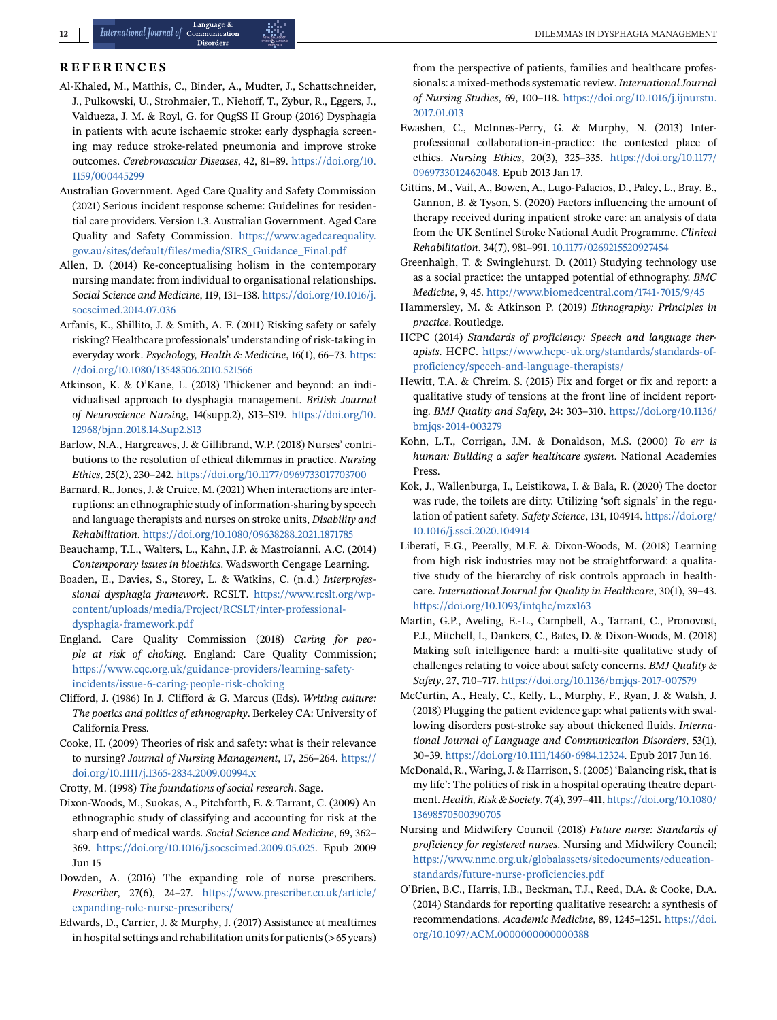#### <span id="page-11-0"></span>**REFERENCES**

- Al-Khaled, M., Matthis, C., Binder, A., Mudter, J., Schattschneider, J., Pulkowski, U., Strohmaier, T., Niehoff, T., Zybur, R., Eggers, J., Valdueza, J. M. & Royl, G. for QugSS II Group (2016) Dysphagia in patients with acute ischaemic stroke: early dysphagia screening may reduce stroke-related pneumonia and improve stroke outcomes. *Cerebrovascular Diseases*, 42, 81–89. [https://doi.org/10.](https://doi.org/10.1159/000445299) [1159/000445299](https://doi.org/10.1159/000445299)
- Australian Government. Aged Care Quality and Safety Commission (2021) Serious incident response scheme: Guidelines for residential care providers*.*Version 1.3. Australian Government. Aged Care Quality and Safety Commission. [https://www.agedcarequality.](https://www.agedcarequality.gov.au/sites/default/files/media/SIRS_Guidance_Final.pdf) [gov.au/sites/default/files/media/SIRS\\_Guidance\\_Final.pdf](https://www.agedcarequality.gov.au/sites/default/files/media/SIRS_Guidance_Final.pdf)
- Allen, D. (2014) Re-conceptualising holism in the contemporary nursing mandate: from individual to organisational relationships. *Social Science and Medicine*, 119, 131–138. [https://doi.org/10.1016/j.](https://doi.org/10.1016/j.socscimed.2014.07.036) [socscimed.2014.07.036](https://doi.org/10.1016/j.socscimed.2014.07.036)
- Arfanis, K., Shillito, J. & Smith, A. F. (2011) Risking safety or safely risking? Healthcare professionals' understanding of risk-taking in everyday work. *Psychology, Health & Medicine*, 16(1), 66–73. [https:](https://doi.org/10.1080/13548506.2010.521566) [//doi.org/10.1080/13548506.2010.521566](https://doi.org/10.1080/13548506.2010.521566)
- Atkinson, K. & O'Kane, L. (2018) Thickener and beyond: an individualised approach to dysphagia management. *British Journal of Neuroscience Nursing*, 14(supp.2), S13–S19. [https://doi.org/10.](https://doi.org/10.12968/bjnn.2018.14.Sup2.S13) [12968/bjnn.2018.14.Sup2.S13](https://doi.org/10.12968/bjnn.2018.14.Sup2.S13)
- Barlow, N.A., Hargreaves, J. & Gillibrand, W.P. (2018) Nurses' contributions to the resolution of ethical dilemmas in practice. *Nursing Ethics*, 25(2), 230–242. <https://doi.org/10.1177/0969733017703700>
- Barnard, R., Jones, J. & Cruice, M. (2021) When interactions are interruptions: an ethnographic study of information-sharing by speech and language therapists and nurses on stroke units, *Disability and Rehabilitation*. <https://doi.org/10.1080/09638288.2021.1871785>
- Beauchamp, T.L., Walters, L., Kahn, J.P. & Mastroianni, A.C. (2014) *Contemporary issues in bioethics*. Wadsworth Cengage Learning.
- Boaden, E., Davies, S., Storey, L. & Watkins, C. (n.d.) *Interprofessional dysphagia framework*. RCSLT. [https://www.rcslt.org/wp](https://www.rcslt.org/wp-content/uploads/media/Project/RCSLT/inter-professional-dysphagia-framework.pdf)[content/uploads/media/Project/RCSLT/inter-professional](https://www.rcslt.org/wp-content/uploads/media/Project/RCSLT/inter-professional-dysphagia-framework.pdf)[dysphagia-framework.pdf](https://www.rcslt.org/wp-content/uploads/media/Project/RCSLT/inter-professional-dysphagia-framework.pdf)
- England. Care Quality Commission (2018) *Caring for people at risk of choking*. England: Care Quality Commission; [https://www.cqc.org.uk/guidance-providers/learning-safety](https://www.cqc.org.uk/guidance-providers/learning-safety-incidents/issue-6-caring-people-risk-choking)[incidents/issue-6-caring-people-risk-choking](https://www.cqc.org.uk/guidance-providers/learning-safety-incidents/issue-6-caring-people-risk-choking)
- Clifford, J. (1986) In J. Clifford & G. Marcus (Eds). *Writing culture: The poetics and politics of ethnography*. Berkeley CA: University of California Press.
- Cooke, H. (2009) Theories of risk and safety: what is their relevance to nursing? *Journal of Nursing Management*, 17, 256–264. [https://](https://doi.org/10.1111/j.1365-2834.2009.00994.x) [doi.org/10.1111/j.1365-2834.2009.00994.x](https://doi.org/10.1111/j.1365-2834.2009.00994.x)
- Crotty, M. (1998) *The foundations of social research*. Sage.
- Dixon-Woods, M., Suokas, A., Pitchforth, E. & Tarrant, C. (2009) An ethnographic study of classifying and accounting for risk at the sharp end of medical wards. *Social Science and Medicine*, 69, 362– 369. [https://doi.org/10.1016/j.socscimed.2009.05.025.](https://doi.org/10.1016/j.socscimed.2009.05.025) Epub 2009 Jun 15
- Dowden, A. (2016) The expanding role of nurse prescribers. *Prescriber*, 27(6), 24–27. [https://www.prescriber.co.uk/article/](https://www.prescriber.co.uk/article/expanding-role-nurse-prescribers/) [expanding-role-nurse-prescribers/](https://www.prescriber.co.uk/article/expanding-role-nurse-prescribers/)
- Edwards, D., Carrier, J. & Murphy, J. (2017) Assistance at mealtimes in hospital settings and rehabilitation units for patients (>65 years)

from the perspective of patients, families and healthcare professionals: a mixed-methods systematic review. *International Journal of Nursing Studies*, 69, 100–118. [https://doi.org/10.1016/j.ijnurstu.](https://doi.org/10.1016/j.ijnurstu.2017.01.013) [2017.01.013](https://doi.org/10.1016/j.ijnurstu.2017.01.013)

- Ewashen, C., McInnes-Perry, G. & Murphy, N. (2013) Interprofessional collaboration-in-practice: the contested place of ethics. *Nursing Ethics*, 20(3), 325–335. [https://doi.org/10.1177/](https://doi.org/10.1177/0969733012462048) [0969733012462048.](https://doi.org/10.1177/0969733012462048) Epub 2013 Jan 17.
- Gittins, M., Vail, A., Bowen, A., Lugo-Palacios, D., Paley, L., Bray, B., Gannon, B. & Tyson, S. (2020) Factors influencing the amount of therapy received during inpatient stroke care: an analysis of data from the UK Sentinel Stroke National Audit Programme. *Clinical Rehabilitation*, 34(7), 981–991. [10.1177/0269215520927454](http://10.1177/0269215520927454)
- Greenhalgh, T. & Swinglehurst, D. (2011) Studying technology use as a social practice: the untapped potential of ethnography. *BMC Medicine*, 9, 45. <http://www.biomedcentral.com/1741-7015/9/45>
- Hammersley, M. & Atkinson P. (2019) *Ethnography: Principles in practice*. Routledge.
- HCPC (2014) *Standards of proficiency: Speech and language therapists*. HCPC. [https://www.hcpc-uk.org/standards/standards-of](https://www.hcpc-uk.org/standards/standards-of-proficiency/speech-and-language-therapists/)[proficiency/speech-and-language-therapists/](https://www.hcpc-uk.org/standards/standards-of-proficiency/speech-and-language-therapists/)
- Hewitt, T.A. & Chreim, S. (2015) Fix and forget or fix and report: a qualitative study of tensions at the front line of incident reporting. *BMJ Quality and Safety*, 24: 303–310. [https://doi.org/10.1136/](https://doi.org/10.1136/bmjqs-2014-003279) [bmjqs-2014-003279](https://doi.org/10.1136/bmjqs-2014-003279)
- Kohn, L.T., Corrigan, J.M. & Donaldson, M.S. (2000) *To err is human: Building a safer healthcare system*. National Academies Press.
- Kok, J., Wallenburga, I., Leistikowa, I. & Bala, R. (2020) The doctor was rude, the toilets are dirty. Utilizing 'soft signals' in the regulation of patient safety. *Safety Science*, 131, 104914. [https://doi.org/](https://doi.org/10.1016/j.ssci.2020.104914) [10.1016/j.ssci.2020.104914](https://doi.org/10.1016/j.ssci.2020.104914)
- Liberati, E.G., Peerally, M.F. & Dixon-Woods, M. (2018) Learning from high risk industries may not be straightforward: a qualitative study of the hierarchy of risk controls approach in healthcare. *International Journal for Quality in Healthcare*, 30(1), 39–43. <https://doi.org/10.1093/intqhc/mzx163>
- Martin, G.P., Aveling, E.-L., Campbell, A., Tarrant, C., Pronovost, P.J., Mitchell, I., Dankers, C., Bates, D. & Dixon-Woods, M. (2018) Making soft intelligence hard: a multi-site qualitative study of challenges relating to voice about safety concerns. *BMJ Quality & Safety*, 27, 710–717. <https://doi.org/10.1136/bmjqs-2017-007579>
- McCurtin, A., Healy, C., Kelly, L., Murphy, F., Ryan, J. & Walsh, J. (2018) Plugging the patient evidence gap: what patients with swallowing disorders post-stroke say about thickened fluids. *International Journal of Language and Communication Disorders*, 53(1), 30–39. [https://doi.org/10.1111/1460-6984.12324.](https://doi.org/10.1111/1460-6984.12324) Epub 2017 Jun 16.
- McDonald, R., Waring, J. & Harrison, S. (2005) 'Balancing risk, that is my life': The politics of risk in a hospital operating theatre department. *Health, Risk & Society*, 7(4), 397–411, [https://doi.org/10.1080/](https://doi.org/10.1080/13698570500390705) [13698570500390705](https://doi.org/10.1080/13698570500390705)
- Nursing and Midwifery Council (2018) *Future nurse: Standards of proficiency for registered nurses*. Nursing and Midwifery Council; [https://www.nmc.org.uk/globalassets/sitedocuments/education](https://www.nmc.org.uk/globalassets/sitedocuments/education-standards/future-nurse-proficiencies.pdf)[standards/future-nurse-proficiencies.pdf](https://www.nmc.org.uk/globalassets/sitedocuments/education-standards/future-nurse-proficiencies.pdf)
- O'Brien, B.C., Harris, I.B., Beckman, T.J., Reed, D.A. & Cooke, D.A. (2014) Standards for reporting qualitative research: a synthesis of recommendations. *Academic Medicine*, 89, 1245–1251. [https://doi.](https://doi.org/10.1097/ACM.0000000000000388) [org/10.1097/ACM.0000000000000388](https://doi.org/10.1097/ACM.0000000000000388)